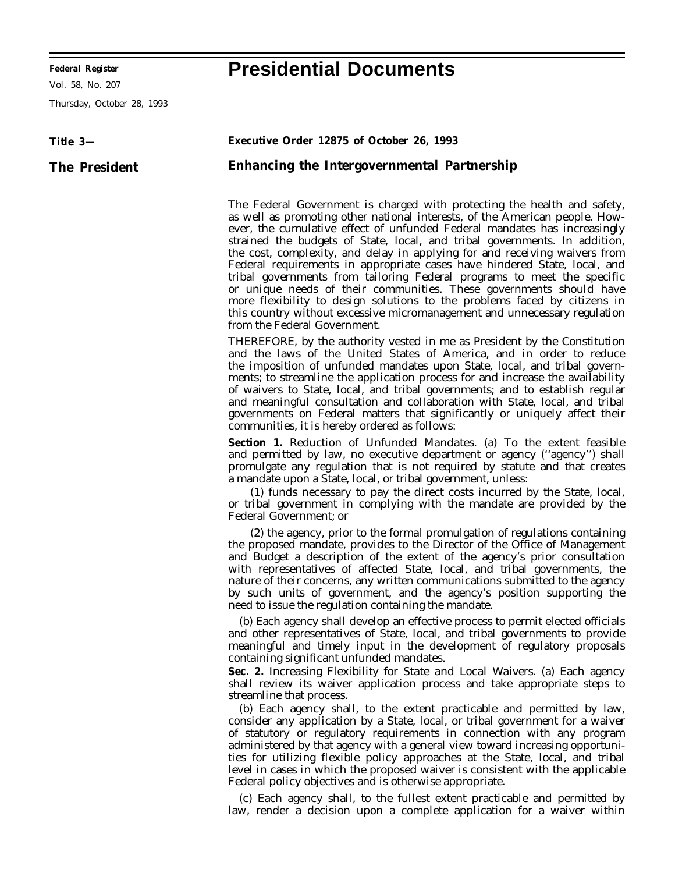**Federal Register Presidential Documents**

Vol. 58, No. 207

Thursday, October 28, 1993

## **Title 3— The President Executive Order 12875 of October 26, 1993 Enhancing the Intergovernmental Partnership** The Federal Government is charged with protecting the health and safety, as well as promoting other national interests, of the American people. However, the cumulative effect of unfunded Federal mandates has increasingly strained the budgets of State, local, and tribal governments. In addition, the cost, complexity, and delay in applying for and receiving waivers from Federal requirements in appropriate cases have hindered State, local, and tribal governments from tailoring Federal programs to meet the specific or unique needs of their communities. These governments should have more flexibility to design solutions to the problems faced by citizens in

this country without excessive micromanagement and unnecessary regulation from the Federal Government. THEREFORE, by the authority vested in me as President by the Constitution and the laws of the United States of America, and in order to reduce the imposition of unfunded mandates upon State, local, and tribal governments; to streamline the application process for and increase the availability of waivers to State, local, and tribal governments; and to establish regular and meaningful consultation and collaboration with State, local, and tribal governments on Federal matters that significantly or uniquely affect their communities, it is hereby ordered as follows:

**Section 1.** *Reduction of Unfunded Mandates.* (a) To the extent feasible and permitted by law, no executive department or agency (''agency'') shall promulgate any regulation that is not required by statute and that creates a mandate upon a State, local, or tribal government, unless:

(1) funds necessary to pay the direct costs incurred by the State, local, or tribal government in complying with the mandate are provided by the Federal Government; or

(2) the agency, prior to the formal promulgation of regulations containing the proposed mandate, provides to the Director of the Office of Management and Budget a description of the extent of the agency's prior consultation with representatives of affected State, local, and tribal governments, the nature of their concerns, any written communications submitted to the agency by such units of government, and the agency's position supporting the need to issue the regulation containing the mandate.

(b) Each agency shall develop an effective process to permit elected officials and other representatives of State, local, and tribal governments to provide meaningful and timely input in the development of regulatory proposals containing significant unfunded mandates.

**Sec. 2.** *Increasing Flexibility for State and Local Waivers.* (a) Each agency shall review its waiver application process and take appropriate steps to streamline that process.

(b) Each agency shall, to the extent practicable and permitted by law, consider any application by a State, local, or tribal government for a waiver of statutory or regulatory requirements in connection with any program administered by that agency with a general view toward increasing opportunities for utilizing flexible policy approaches at the State, local, and tribal level in cases in which the proposed waiver is consistent with the applicable Federal policy objectives and is otherwise appropriate.

(c) Each agency shall, to the fullest extent practicable and permitted by law, render a decision upon a complete application for a waiver within